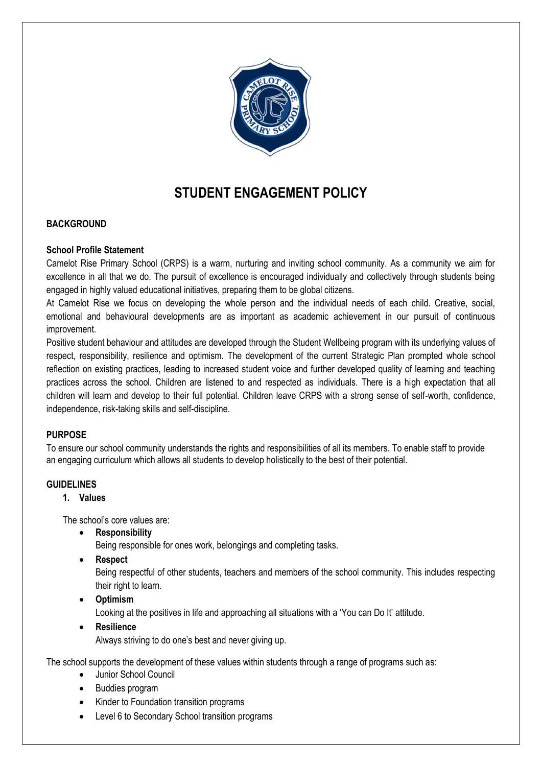

# **STUDENT ENGAGEMENT POLICY**

# **BACKGROUND**

# **School Profile Statement**

Camelot Rise Primary School (CRPS) is a warm, nurturing and inviting school community. As a community we aim for excellence in all that we do. The pursuit of excellence is encouraged individually and collectively through students being engaged in highly valued educational initiatives, preparing them to be global citizens.

At Camelot Rise we focus on developing the whole person and the individual needs of each child. Creative, social, emotional and behavioural developments are as important as academic achievement in our pursuit of continuous improvement.

Positive student behaviour and attitudes are developed through the Student Wellbeing program with its underlying values of respect, responsibility, resilience and optimism. The development of the current Strategic Plan prompted whole school reflection on existing practices, leading to increased student voice and further developed quality of learning and teaching practices across the school. Children are listened to and respected as individuals. There is a high expectation that all children will learn and develop to their full potential. Children leave CRPS with a strong sense of self-worth, confidence, independence, risk-taking skills and self-discipline.

# **PURPOSE**

To ensure our school community understands the rights and responsibilities of all its members. To enable staff to provide an engaging curriculum which allows all students to develop holistically to the best of their potential.

# **GUIDELINES**

# **1. Values**

The school's core values are:

**Responsibility**

Being responsible for ones work, belongings and completing tasks.

**Respect**

Being respectful of other students, teachers and members of the school community. This includes respecting their right to learn.

**Optimism**

Looking at the positives in life and approaching all situations with a 'You can Do It' attitude.

**Resilience**

Always striving to do one's best and never giving up.

The school supports the development of these values within students through a range of programs such as:

- Junior School Council
- Buddies program
- Kinder to Foundation transition programs
- Level 6 to Secondary School transition programs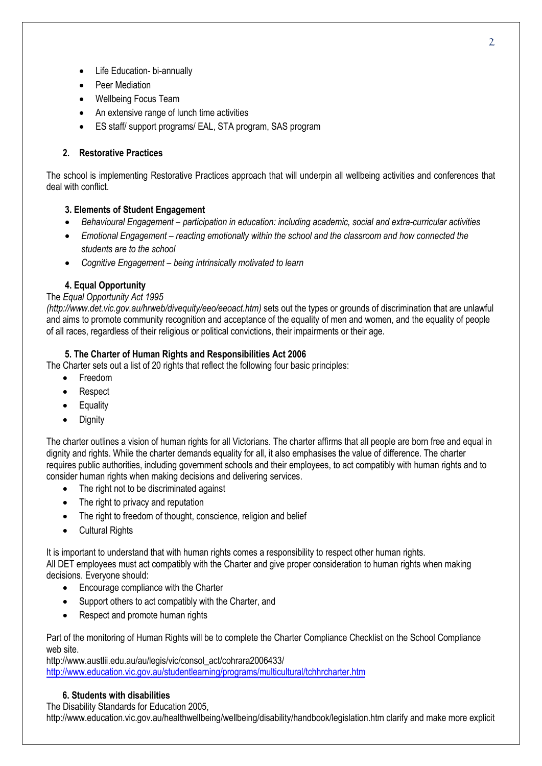- Life Education- bi-annually
- Peer Mediation
- Wellbeing Focus Team
- An extensive range of lunch time activities
- ES staff/ support programs/ EAL, STA program, SAS program

# **2. Restorative Practices**

The school is implementing Restorative Practices approach that will underpin all wellbeing activities and conferences that deal with conflict.

# **3. Elements of Student Engagement**

- *Behavioural Engagement – participation in education: including academic, social and extra-curricular activities*
- *Emotional Engagement – reacting emotionally within the school and the classroom and how connected the students are to the school*
- *Cognitive Engagement – being intrinsically motivated to learn*

# **4. Equal Opportunity**

### The *Equal Opportunity Act 1995*

*(http://www.det.vic.gov.au/hrweb/divequity/eeo/eeoact.htm)* sets out the types or grounds of discrimination that are unlawful and aims to promote community recognition and acceptance of the equality of men and women, and the equality of people of all races, regardless of their religious or political convictions, their impairments or their age.

# **5. The Charter of Human Rights and Responsibilities Act 2006**

The Charter sets out a list of 20 rights that reflect the following four basic principles:

- Freedom
- Respect
- **Equality**
- Dignity

The charter outlines a vision of human rights for all Victorians. The charter affirms that all people are born free and equal in dignity and rights. While the charter demands equality for all, it also emphasises the value of difference. The charter requires public authorities, including government schools and their employees, to act compatibly with human rights and to consider human rights when making decisions and delivering services.

- The right not to be discriminated against
- The right to privacy and reputation
- The right to freedom of thought, conscience, religion and belief
- Cultural Rights

It is important to understand that with human rights comes a responsibility to respect other human rights. All DET employees must act compatibly with the Charter and give proper consideration to human rights when making decisions. Everyone should:

- Encourage compliance with the Charter
- Support others to act compatibly with the Charter, and
- Respect and promote human rights

Part of the monitoring of Human Rights will be to complete the Charter Compliance Checklist on the School Compliance web site.

http://www.austlii.edu.au/au/legis/vic/consol\_act/cohrara2006433/ <http://www.education.vic.gov.au/studentlearning/programs/multicultural/tchhrcharter.htm>

#### **6. Students with disabilities**

The Disability Standards for Education 2005,

http://www.education.vic.gov.au/healthwellbeing/wellbeing/disability/handbook/legislation.htm clarify and make more explicit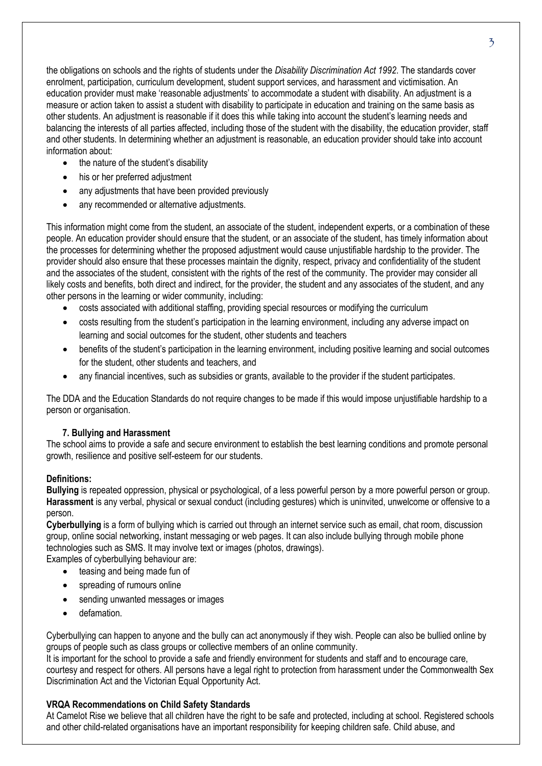the obligations on schools and the rights of students under the *Disability Discrimination Act 1992*. The standards cover enrolment, participation, curriculum development, student support services, and harassment and victimisation. An education provider must make 'reasonable adjustments' to accommodate a student with disability. An adjustment is a measure or action taken to assist a student with disability to participate in education and training on the same basis as other students. An adjustment is reasonable if it does this while taking into account the student's learning needs and balancing the interests of all parties affected, including those of the student with the disability, the education provider, staff and other students. In determining whether an adjustment is reasonable, an education provider should take into account information about:

- the nature of the student's disability
- his or her preferred adjustment
- any adjustments that have been provided previously
- any recommended or alternative adjustments.

This information might come from the student, an associate of the student, independent experts, or a combination of these people. An education provider should ensure that the student, or an associate of the student, has timely information about the processes for determining whether the proposed adjustment would cause unjustifiable hardship to the provider. The provider should also ensure that these processes maintain the dignity, respect, privacy and confidentiality of the student and the associates of the student, consistent with the rights of the rest of the community. The provider may consider all likely costs and benefits, both direct and indirect, for the provider, the student and any associates of the student, and any other persons in the learning or wider community, including:

- costs associated with additional staffing, providing special resources or modifying the curriculum
- costs resulting from the student's participation in the learning environment, including any adverse impact on learning and social outcomes for the student, other students and teachers
- benefits of the student's participation in the learning environment, including positive learning and social outcomes for the student, other students and teachers, and
- any financial incentives, such as subsidies or grants, available to the provider if the student participates.

The DDA and the Education Standards do not require changes to be made if this would impose unjustifiable hardship to a person or organisation.

# **7. Bullying and Harassment**

The school aims to provide a safe and secure environment to establish the best learning conditions and promote personal growth, resilience and positive self-esteem for our students.

# **Definitions:**

**Bullying** is repeated oppression, physical or psychological, of a less powerful person by a more powerful person or group. **Harassment** is any verbal, physical or sexual conduct (including gestures) which is uninvited, unwelcome or offensive to a person.

**Cyberbullying** is a form of bullying which is carried out through an internet service such as email, chat room, discussion group, online social networking, instant messaging or web pages. It can also include bullying through mobile phone technologies such as SMS. It may involve text or images (photos, drawings).

Examples of cyberbullying behaviour are:

- teasing and being made fun of
- spreading of rumours online
- sending unwanted messages or images
- defamation.

Cyberbullying can happen to anyone and the bully can act anonymously if they wish. People can also be bullied online by groups of people such as class groups or collective members of an online community.

It is important for the school to provide a safe and friendly environment for students and staff and to encourage care, courtesy and respect for others. All persons have a legal right to protection from harassment under the Commonwealth Sex Discrimination Act and the Victorian Equal Opportunity Act.

# **VRQA Recommendations on Child Safety Standards**

At Camelot Rise we believe that all children have the right to be safe and protected, including at school. Registered schools and other child-related organisations have an important responsibility for keeping children safe. Child abuse, and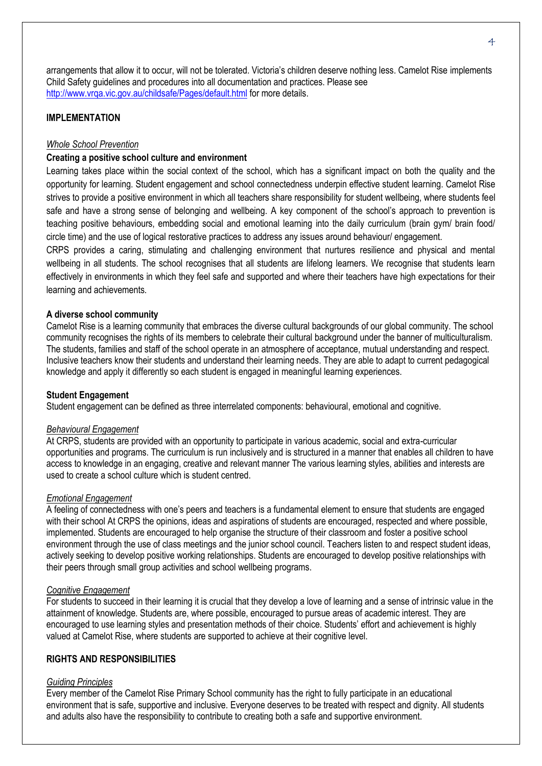arrangements that allow it to occur, will not be tolerated. Victoria's children deserve nothing less. Camelot Rise implements Child Safety guidelines and procedures into all documentation and practices. Please see <http://www.vrqa.vic.gov.au/childsafe/Pages/default.html> for more details.

# **IMPLEMENTATION**

#### *Whole School Prevention*

### **Creating a positive school culture and environment**

Learning takes place within the social context of the school, which has a significant impact on both the quality and the opportunity for learning. Student engagement and school connectedness underpin effective student learning. Camelot Rise strives to provide a positive environment in which all teachers share responsibility for student wellbeing, where students feel safe and have a strong sense of belonging and wellbeing. A key component of the school's approach to prevention is teaching positive behaviours, embedding social and emotional learning into the daily curriculum (brain gym/ brain food/ circle time) and the use of logical restorative practices to address any issues around behaviour/ engagement.

CRPS provides a caring, stimulating and challenging environment that nurtures resilience and physical and mental wellbeing in all students. The school recognises that all students are lifelong learners. We recognise that students learn effectively in environments in which they feel safe and supported and where their teachers have high expectations for their learning and achievements.

#### **A diverse school community**

Camelot Rise is a learning community that embraces the diverse cultural backgrounds of our global community. The school community recognises the rights of its members to celebrate their cultural background under the banner of multiculturalism. The students, families and staff of the school operate in an atmosphere of acceptance, mutual understanding and respect. Inclusive teachers know their students and understand their learning needs. They are able to adapt to current pedagogical knowledge and apply it differently so each student is engaged in meaningful learning experiences.

#### **Student Engagement**

Student engagement can be defined as three interrelated components: behavioural, emotional and cognitive.

#### *Behavioural Engagement*

At CRPS, students are provided with an opportunity to participate in various academic, social and extra-curricular opportunities and programs. The curriculum is run inclusively and is structured in a manner that enables all children to have access to knowledge in an engaging, creative and relevant manner The various learning styles, abilities and interests are used to create a school culture which is student centred.

#### *Emotional Engagement*

A feeling of connectedness with one's peers and teachers is a fundamental element to ensure that students are engaged with their school At CRPS the opinions, ideas and aspirations of students are encouraged, respected and where possible, implemented. Students are encouraged to help organise the structure of their classroom and foster a positive school environment through the use of class meetings and the junior school council. Teachers listen to and respect student ideas, actively seeking to develop positive working relationships. Students are encouraged to develop positive relationships with their peers through small group activities and school wellbeing programs.

#### *Cognitive Engagement*

For students to succeed in their learning it is crucial that they develop a love of learning and a sense of intrinsic value in the attainment of knowledge. Students are, where possible, encouraged to pursue areas of academic interest. They are encouraged to use learning styles and presentation methods of their choice. Students' effort and achievement is highly valued at Camelot Rise, where students are supported to achieve at their cognitive level.

### **RIGHTS AND RESPONSIBILITIES**

### *Guiding Principles*

Every member of the Camelot Rise Primary School community has the right to fully participate in an educational environment that is safe, supportive and inclusive. Everyone deserves to be treated with respect and dignity. All students and adults also have the responsibility to contribute to creating both a safe and supportive environment.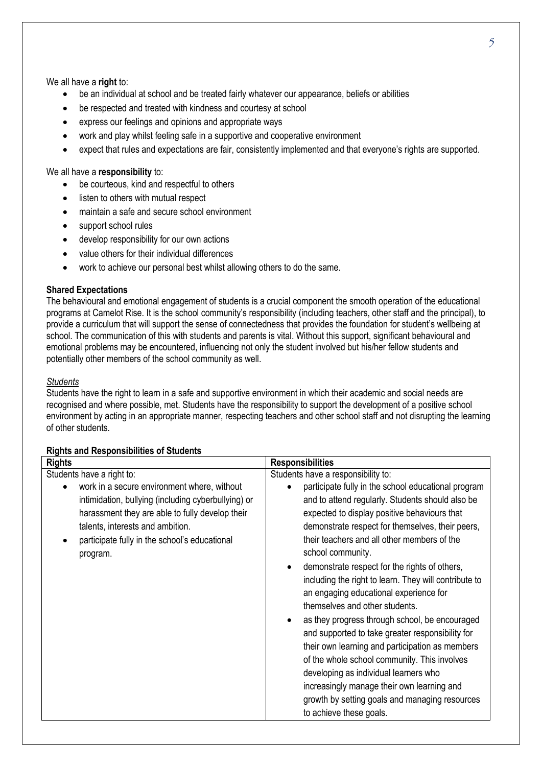We all have a **right** to:

- be an individual at school and be treated fairly whatever our appearance, beliefs or abilities
- be respected and treated with kindness and courtesy at school
- express our feelings and opinions and appropriate ways
- work and play whilst feeling safe in a supportive and cooperative environment
- expect that rules and expectations are fair, consistently implemented and that everyone's rights are supported.

We all have a **responsibility** to:

- be courteous, kind and respectful to others
- listen to others with mutual respect
- maintain a safe and secure school environment
- support school rules
- develop responsibility for our own actions
- value others for their individual differences
- work to achieve our personal best whilst allowing others to do the same.

#### **Shared Expectations**

The behavioural and emotional engagement of students is a crucial component the smooth operation of the educational programs at Camelot Rise. It is the school community's responsibility (including teachers, other staff and the principal), to provide a curriculum that will support the sense of connectedness that provides the foundation for student's wellbeing at school. The communication of this with students and parents is vital. Without this support, significant behavioural and emotional problems may be encountered, influencing not only the student involved but his/her fellow students and potentially other members of the school community as well.

### *Students*

Students have the right to learn in a safe and supportive environment in which their academic and social needs are recognised and where possible, met. Students have the responsibility to support the development of a positive school environment by acting in an appropriate manner, respecting teachers and other school staff and not disrupting the learning of other students.

# **Rights and Responsibilities of Students**

| <b>Rights</b>                                                                                                                                                                                                                                                                       | <b>Responsibilities</b>                                                                                                                                                                                                                                                                                                                                                                                                                                                                                                                                                                                                                                                                                                                                                                                                                                                                            |
|-------------------------------------------------------------------------------------------------------------------------------------------------------------------------------------------------------------------------------------------------------------------------------------|----------------------------------------------------------------------------------------------------------------------------------------------------------------------------------------------------------------------------------------------------------------------------------------------------------------------------------------------------------------------------------------------------------------------------------------------------------------------------------------------------------------------------------------------------------------------------------------------------------------------------------------------------------------------------------------------------------------------------------------------------------------------------------------------------------------------------------------------------------------------------------------------------|
| Students have a right to:<br>work in a secure environment where, without<br>intimidation, bullying (including cyberbullying) or<br>harassment they are able to fully develop their<br>talents, interests and ambition.<br>participate fully in the school's educational<br>program. | Students have a responsibility to:<br>participate fully in the school educational program<br>and to attend regularly. Students should also be<br>expected to display positive behaviours that<br>demonstrate respect for themselves, their peers,<br>their teachers and all other members of the<br>school community.<br>demonstrate respect for the rights of others,<br>٠<br>including the right to learn. They will contribute to<br>an engaging educational experience for<br>themselves and other students.<br>as they progress through school, be encouraged<br>٠<br>and supported to take greater responsibility for<br>their own learning and participation as members<br>of the whole school community. This involves<br>developing as individual learners who<br>increasingly manage their own learning and<br>growth by setting goals and managing resources<br>to achieve these goals. |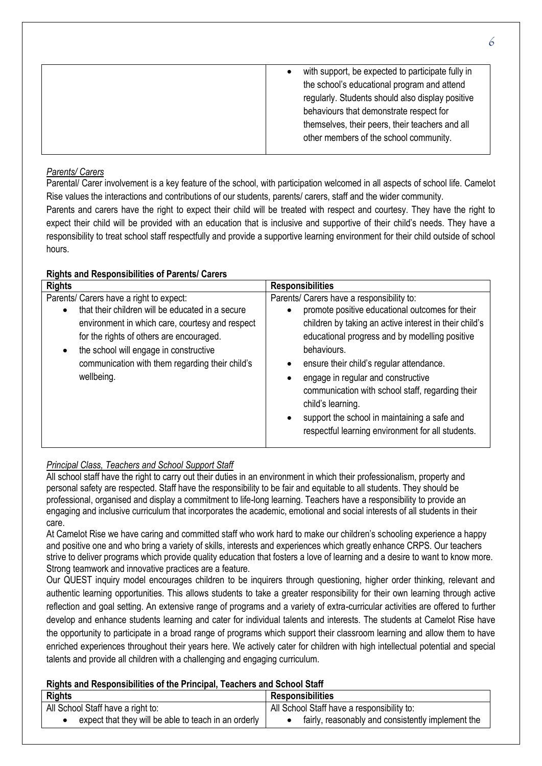| with support, be expected to participate fully in |
|---------------------------------------------------|
| the school's educational program and attend       |
| regularly. Students should also display positive  |
| behaviours that demonstrate respect for           |
| themselves, their peers, their teachers and all   |
| other members of the school community.            |
|                                                   |

# *Parents/ Carers*

Parental/ Carer involvement is a key feature of the school, with participation welcomed in all aspects of school life. Camelot Rise values the interactions and contributions of our students, parents/ carers, staff and the wider community. Parents and carers have the right to expect their child will be treated with respect and courtesy. They have the right to expect their child will be provided with an education that is inclusive and supportive of their child's needs. They have a responsibility to treat school staff respectfully and provide a supportive learning environment for their child outside of school hours.

# **Rights and Responsibilities of Parents/ Carers**

| <b>Rights</b>                                                                                                                                                                                                                                                                                         | <b>Responsibilities</b>                                                                                                                                                                                                                                                                                                                                                                                                                                                                 |
|-------------------------------------------------------------------------------------------------------------------------------------------------------------------------------------------------------------------------------------------------------------------------------------------------------|-----------------------------------------------------------------------------------------------------------------------------------------------------------------------------------------------------------------------------------------------------------------------------------------------------------------------------------------------------------------------------------------------------------------------------------------------------------------------------------------|
| Parents/ Carers have a right to expect:<br>that their children will be educated in a secure<br>environment in which care, courtesy and respect<br>for the rights of others are encouraged.<br>the school will engage in constructive<br>communication with them regarding their child's<br>wellbeing. | Parents/ Carers have a responsibility to:<br>promote positive educational outcomes for their<br>children by taking an active interest in their child's<br>educational progress and by modelling positive<br>behaviours.<br>ensure their child's regular attendance.<br>engage in regular and constructive<br>communication with school staff, regarding their<br>child's learning.<br>support the school in maintaining a safe and<br>respectful learning environment for all students. |

# *Principal Class, Teachers and School Support Staff*

All school staff have the right to carry out their duties in an environment in which their professionalism, property and personal safety are respected. Staff have the responsibility to be fair and equitable to all students. They should be professional, organised and display a commitment to life-long learning. Teachers have a responsibility to provide an engaging and inclusive curriculum that incorporates the academic, emotional and social interests of all students in their care.

At Camelot Rise we have caring and committed staff who work hard to make our children's schooling experience a happy and positive one and who bring a variety of skills, interests and experiences which greatly enhance CRPS. Our teachers strive to deliver programs which provide quality education that fosters a love of learning and a desire to want to know more. Strong teamwork and innovative practices are a feature.

Our QUEST inquiry model encourages children to be inquirers through questioning, higher order thinking, relevant and authentic learning opportunities. This allows students to take a greater responsibility for their own learning through active reflection and goal setting. An extensive range of programs and a variety of extra-curricular activities are offered to further develop and enhance students learning and cater for individual talents and interests. The students at Camelot Rise have the opportunity to participate in a broad range of programs which support their classroom learning and allow them to have enriched experiences throughout their years here. We actively cater for children with high intellectual potential and special talents and provide all children with a challenging and engaging curriculum.

# **Rights and Responsibilities of the Principal, Teachers and School Staff**

| <b>Rights</b>                                        | <b>Responsibilities</b>                           |
|------------------------------------------------------|---------------------------------------------------|
| All School Staff have a right to:                    | All School Staff have a responsibility to:        |
| expect that they will be able to teach in an orderly | fairly, reasonably and consistently implement the |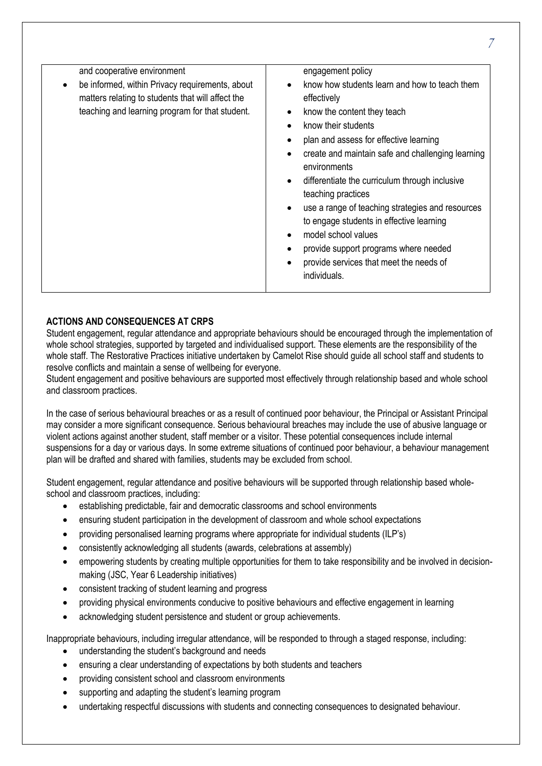| and cooperative environment                                                                                                                             | engagement policy                                                                                                                                                                                                                                                                                                                                                                                                                                                                                                                    |
|---------------------------------------------------------------------------------------------------------------------------------------------------------|--------------------------------------------------------------------------------------------------------------------------------------------------------------------------------------------------------------------------------------------------------------------------------------------------------------------------------------------------------------------------------------------------------------------------------------------------------------------------------------------------------------------------------------|
| be informed, within Privacy requirements, about<br>matters relating to students that will affect the<br>teaching and learning program for that student. | know how students learn and how to teach them<br>effectively<br>know the content they teach<br>know their students<br>plan and assess for effective learning<br>create and maintain safe and challenging learning<br>environments<br>differentiate the curriculum through inclusive<br>teaching practices<br>use a range of teaching strategies and resources<br>to engage students in effective learning<br>model school values<br>provide support programs where needed<br>provide services that meet the needs of<br>individuals. |
|                                                                                                                                                         |                                                                                                                                                                                                                                                                                                                                                                                                                                                                                                                                      |

# **ACTIONS AND CONSEQUENCES AT CRPS**

Student engagement, regular attendance and appropriate behaviours should be encouraged through the implementation of whole school strategies, supported by targeted and individualised support. These elements are the responsibility of the whole staff. The Restorative Practices initiative undertaken by Camelot Rise should guide all school staff and students to resolve conflicts and maintain a sense of wellbeing for everyone.

Student engagement and positive behaviours are supported most effectively through relationship based and whole school and classroom practices.

In the case of serious behavioural breaches or as a result of continued poor behaviour, the Principal or Assistant Principal may consider a more significant consequence. Serious behavioural breaches may include the use of abusive language or violent actions against another student, staff member or a visitor. These potential consequences include internal suspensions for a day or various days. In some extreme situations of continued poor behaviour, a behaviour management plan will be drafted and shared with families, students may be excluded from school.

Student engagement, regular attendance and positive behaviours will be supported through relationship based wholeschool and classroom practices, including:

- establishing predictable, fair and democratic classrooms and school environments
- ensuring student participation in the development of classroom and whole school expectations
- providing personalised learning programs where appropriate for individual students (ILP's)
- consistently acknowledging all students (awards, celebrations at assembly)
- empowering students by creating multiple opportunities for them to take responsibility and be involved in decisionmaking (JSC, Year 6 Leadership initiatives)
- consistent tracking of student learning and progress
- providing physical environments conducive to positive behaviours and effective engagement in learning
- acknowledging student persistence and student or group achievements.

Inappropriate behaviours, including irregular attendance, will be responded to through a staged response, including:

- understanding the student's background and needs
- ensuring a clear understanding of expectations by both students and teachers
- providing consistent school and classroom environments
- supporting and adapting the student's learning program
- undertaking respectful discussions with students and connecting consequences to designated behaviour.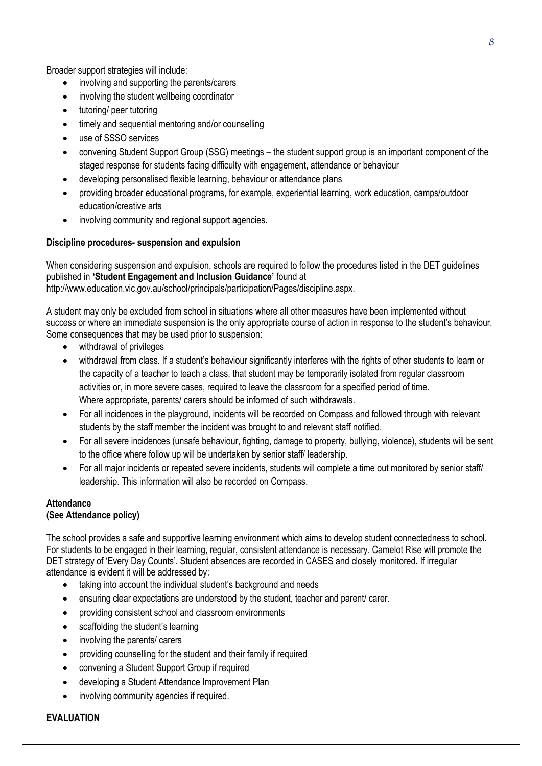Broader support strategies will include:

- involving and supporting the parents/carers
- involving the student wellbeing coordinator
- tutoring/ peer tutoring
- timely and sequential mentoring and/or counselling
- use of SSSO services
- convening Student Support Group (SSG) meetings the student support group is an important component of the staged response for students facing difficulty with engagement, attendance or behaviour
- developing personalised flexible learning, behaviour or attendance plans
- providing broader educational programs, for example, experiential learning, work education, camps/outdoor education/creative arts
- involving community and regional support agencies.

# **Discipline procedures- suspension and expulsion**

When considering suspension and expulsion, schools are required to follow the procedures listed in the DET guidelines published in **'Student Engagement and Inclusion Guidance'** found at http://www.education.vic.gov.au/school/principals/participation/Pages/discipline.aspx.

A student may only be excluded from school in situations where all other measures have been implemented without success or where an immediate suspension is the only appropriate course of action in response to the student's behaviour. Some consequences that may be used prior to suspension:

- withdrawal of privileges
- withdrawal from class. If a student's behaviour significantly interferes with the rights of other students to learn or the capacity of a teacher to teach a class, that student may be temporarily isolated from regular classroom activities or, in more severe cases, required to leave the classroom for a specified period of time. Where appropriate, parents/ carers should be informed of such withdrawals.
- For all incidences in the playground, incidents will be recorded on Compass and followed through with relevant students by the staff member the incident was brought to and relevant staff notified.
- For all severe incidences (unsafe behaviour, fighting, damage to property, bullying, violence), students will be sent to the office where follow up will be undertaken by senior staff/ leadership.
- For all major incidents or repeated severe incidents, students will complete a time out monitored by senior staff/ leadership. This information will also be recorded on Compass.

# **Attendance**

# **(See Attendance policy)**

The school provides a safe and supportive learning environment which aims to develop student connectedness to school. For students to be engaged in their learning, regular, consistent attendance is necessary. Camelot Rise will promote the DET strategy of 'Every Day Counts'. Student absences are recorded in CASES and closely monitored. If irregular attendance is evident it will be addressed by:

- taking into account the individual student's background and needs
- ensuring clear expectations are understood by the student, teacher and parent/ carer.
- providing consistent school and classroom environments
- scaffolding the student's learning
- involving the parents/ carers
- providing counselling for the student and their family if required
- convening a Student Support Group if required
- developing a Student Attendance Improvement Plan
- involving community agencies if required.

#### **EVALUATION**